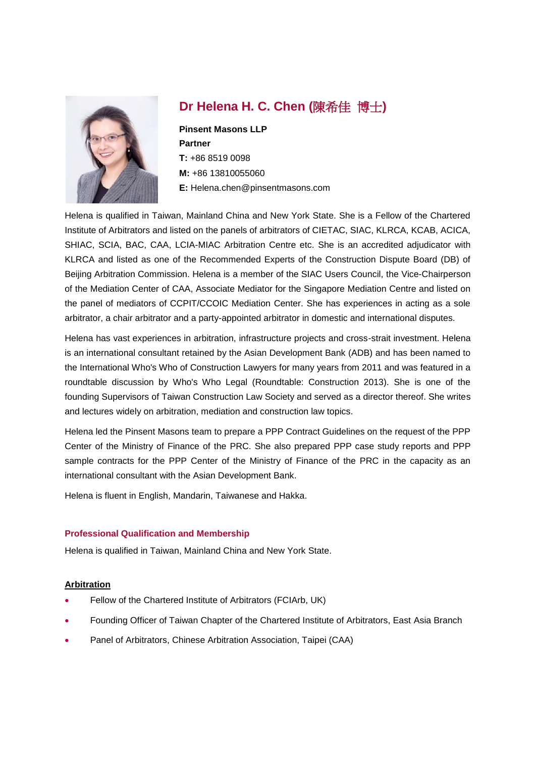

# **Dr Helena H. C. Chen (**陳希佳 博士**)**

**Pinsent Masons LLP Partner T:** +86 8519 0098 **M:** +86 13810055060 **E:** Helena.chen@pinsentmasons.com

Helena is qualified in Taiwan, Mainland China and New York State. She is a Fellow of the Chartered Institute of Arbitrators and listed on the panels of arbitrators of CIETAC, SIAC, KLRCA, KCAB, ACICA, SHIAC, SCIA, BAC, CAA, LCIA-MIAC Arbitration Centre etc. She is an accredited adjudicator with KLRCA and listed as one of the Recommended Experts of the Construction Dispute Board (DB) of Beijing Arbitration Commission. Helena is a member of the SIAC Users Council, the Vice-Chairperson of the Mediation Center of CAA, Associate Mediator for the Singapore Mediation Centre and listed on the panel of mediators of CCPIT/CCOIC Mediation Center. She has experiences in acting as a sole arbitrator, a chair arbitrator and a party-appointed arbitrator in domestic and international disputes.

Helena has vast experiences in arbitration, infrastructure projects and cross-strait investment. Helena is an international consultant retained by the Asian Development Bank (ADB) and has been named to the International Who's Who of Construction Lawyers for many years from 2011 and was featured in a roundtable discussion by Who's Who Legal (Roundtable: Construction 2013). She is one of the founding Supervisors of Taiwan Construction Law Society and served as a director thereof. She writes and lectures widely on arbitration, mediation and construction law topics.

Helena led the Pinsent Masons team to prepare a PPP Contract Guidelines on the request of the PPP Center of the Ministry of Finance of the PRC. She also prepared PPP case study reports and PPP sample contracts for the PPP Center of the Ministry of Finance of the PRC in the capacity as an international consultant with the Asian Development Bank.

Helena is fluent in English, Mandarin, Taiwanese and Hakka.

# **Professional Qualification and Membership**

Helena is qualified in Taiwan, Mainland China and New York State.

#### **Arbitration**

- Fellow of the Chartered Institute of Arbitrators (FCIArb, UK)
- Founding Officer of Taiwan Chapter of the Chartered Institute of Arbitrators, East Asia Branch
- Panel of Arbitrators, Chinese Arbitration Association, Taipei (CAA)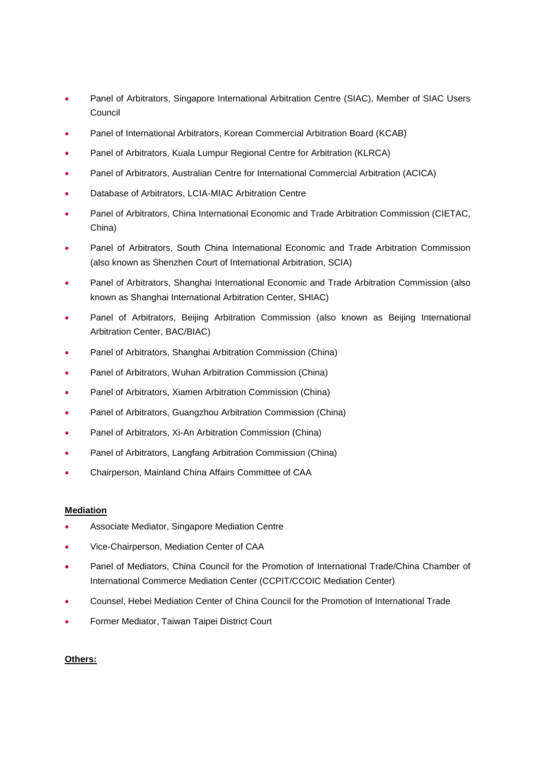- Panel of Arbitrators, Singapore International Arbitration Centre (SIAC), Member of SIAC Users Council
- Panel of International Arbitrators, Korean Commercial Arbitration Board (KCAB)
- Panel of Arbitrators, Kuala Lumpur Regional Centre for Arbitration (KLRCA)
- Panel of Arbitrators, Australian Centre for International Commercial Arbitration (ACICA)
- Database of Arbitrators, LCIA-MIAC Arbitration Centre
- Panel of Arbitrators, China International Economic and Trade Arbitration Commission (CIETAC, China)
- Panel of Arbitrators, South China International Economic and Trade Arbitration Commission (also known as Shenzhen Court of International Arbitration, SCIA)
- Panel of Arbitrators, Shanghai International Economic and Trade Arbitration Commission (also known as Shanghai International Arbitration Center, SHIAC)
- Panel of Arbitrators, Beijing Arbitration Commission (also known as Beijing International Arbitration Center, BAC/BIAC)
- Panel of Arbitrators, Shanghai Arbitration Commission (China)
- Panel of Arbitrators, Wuhan Arbitration Commission (China)
- Panel of Arbitrators, Xiamen Arbitration Commission (China)
- Panel of Arbitrators, Guangzhou Arbitration Commission (China)
- Panel of Arbitrators, Xi-An Arbitration Commission (China)
- Panel of Arbitrators, Langfang Arbitration Commission (China)
- Chairperson, Mainland China Affairs Committee of CAA

#### **Mediation**

- Associate Mediator, Singapore Mediation Centre
- Vice-Chairperson, Mediation Center of CAA
- Panel of Mediators, China Council for the Promotion of International Trade/China Chamber of International Commerce Mediation Center (CCPIT/CCOIC Mediation Center)
- Counsel, Hebei Mediation Center of China Council for the Promotion of International Trade
- Former Mediator, Taiwan Taipei District Court

#### **Others:**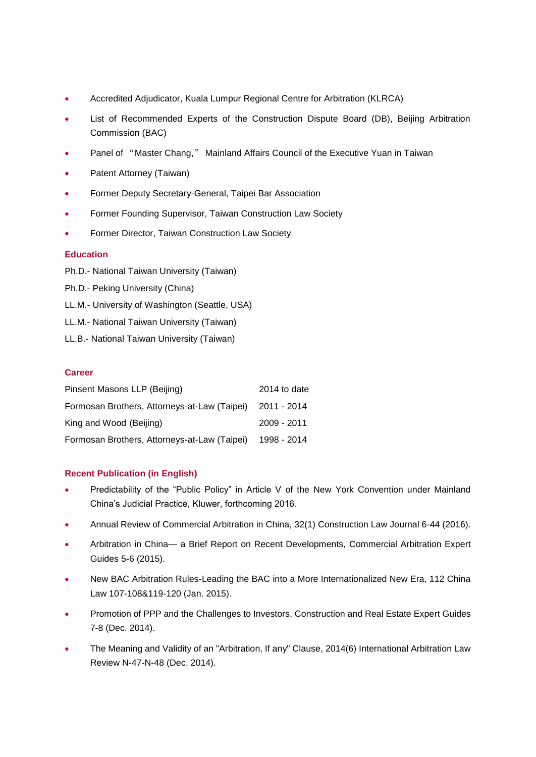- Accredited Adjudicator, Kuala Lumpur Regional Centre for Arbitration (KLRCA)
- List of Recommended Experts of the Construction Dispute Board (DB), Beijing Arbitration Commission (BAC)
- Panel of "Master Chang," Mainland Affairs Council of the Executive Yuan in Taiwan
- Patent Attorney (Taiwan)
- Former Deputy Secretary-General, Taipei Bar Association
- Former Founding Supervisor, Taiwan Construction Law Society
- Former Director, Taiwan Construction Law Society

#### **Education**

- Ph.D.- National Taiwan University (Taiwan)
- Ph.D.- Peking University (China)
- LL.M.- University of Washington (Seattle, USA)
- LL.M.- National Taiwan University (Taiwan)
- LL.B.- National Taiwan University (Taiwan)

## **Career**

| Pinsent Masons LLP (Beijing)                 | 2014 to date |
|----------------------------------------------|--------------|
| Formosan Brothers, Attorneys-at-Law (Taipei) | 2011 - 2014  |
| King and Wood (Beijing)                      | 2009 - 2011  |
| Formosan Brothers, Attorneys-at-Law (Taipei) | 1998 - 2014  |

#### **Recent Publication (in English)**

- Predictability of the "Public Policy" in Article V of the New York Convention under Mainland China's Judicial Practice, Kluwer, forthcoming 2016.
- Annual Review of Commercial Arbitration in China, 32(1) Construction Law Journal 6-44 (2016).
- Arbitration in China— a Brief Report on Recent Developments, Commercial Arbitration Expert Guides 5-6 (2015).
- New BAC Arbitration Rules-Leading the BAC into a More Internationalized New Era, 112 China Law 107-108&119-120 (Jan. 2015).
- Promotion of PPP and the Challenges to Investors, Construction and Real Estate Expert Guides 7-8 (Dec. 2014).
- The Meaning and Validity of an "Arbitration, If any" Clause, 2014(6) International Arbitration Law Review N-47-N-48 (Dec. 2014).